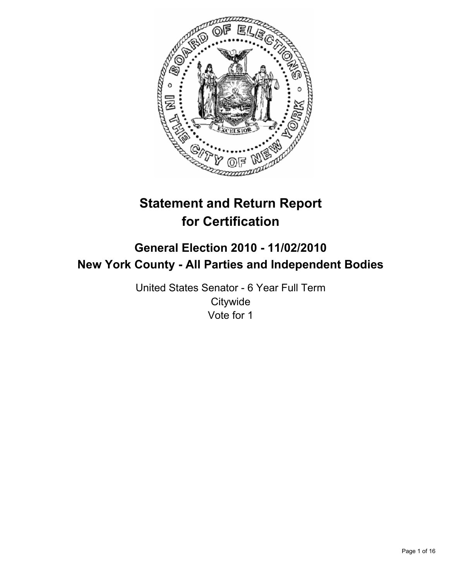

# **Statement and Return Report for Certification**

## **General Election 2010 - 11/02/2010 New York County - All Parties and Independent Bodies**

United States Senator - 6 Year Full Term **Citywide** Vote for 1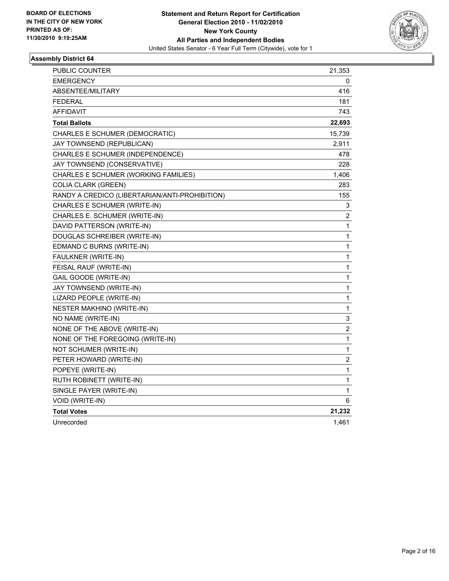

| PUBLIC COUNTER                                 | 21,353       |
|------------------------------------------------|--------------|
| <b>EMERGENCY</b>                               | 0            |
| <b>ABSENTEE/MILITARY</b>                       | 416          |
| <b>FEDERAL</b>                                 | 181          |
| <b>AFFIDAVIT</b>                               | 743          |
| <b>Total Ballots</b>                           | 22,693       |
| CHARLES E SCHUMER (DEMOCRATIC)                 | 15,739       |
| JAY TOWNSEND (REPUBLICAN)                      | 2,911        |
| CHARLES E SCHUMER (INDEPENDENCE)               | 478          |
| JAY TOWNSEND (CONSERVATIVE)                    | 228          |
| CHARLES E SCHUMER (WORKING FAMILIES)           | 1,406        |
| <b>COLIA CLARK (GREEN)</b>                     | 283          |
| RANDY A CREDICO (LIBERTARIAN/ANTI-PROHIBITION) | 155          |
| CHARLES E SCHUMER (WRITE-IN)                   | 3            |
| CHARLES E. SCHUMER (WRITE-IN)                  | 2            |
| DAVID PATTERSON (WRITE-IN)                     | 1            |
| DOUGLAS SCHREIBER (WRITE-IN)                   | 1            |
| EDMAND C BURNS (WRITE-IN)                      | 1            |
| FAULKNER (WRITE-IN)                            | 1            |
| FEISAL RAUF (WRITE-IN)                         | 1            |
| GAIL GOODE (WRITE-IN)                          | 1            |
| JAY TOWNSEND (WRITE-IN)                        | $\mathbf{1}$ |
| LIZARD PEOPLE (WRITE-IN)                       | 1            |
| <b>NESTER MAKHINO (WRITE-IN)</b>               | 1            |
| NO NAME (WRITE-IN)                             | 3            |
| NONE OF THE ABOVE (WRITE-IN)                   | 2            |
| NONE OF THE FOREGOING (WRITE-IN)               | 1            |
| NOT SCHUMER (WRITE-IN)                         | 1            |
| PETER HOWARD (WRITE-IN)                        | 2            |
| POPEYE (WRITE-IN)                              | $\mathbf{1}$ |
| RUTH ROBINETT (WRITE-IN)                       | 1            |
| SINGLE PAYER (WRITE-IN)                        | 1            |
| VOID (WRITE-IN)                                | 6            |
| <b>Total Votes</b>                             | 21,232       |
| Unrecorded                                     | 1,461        |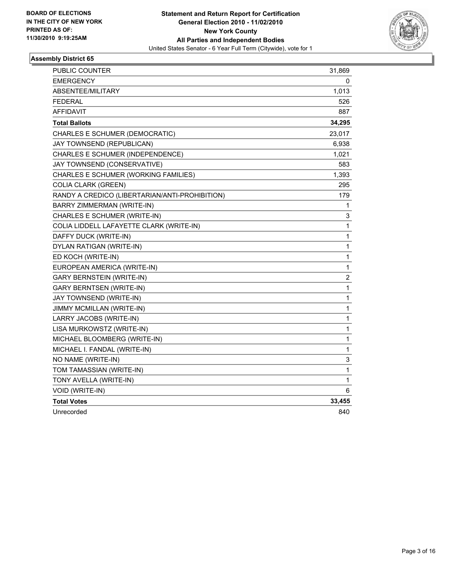

| PUBLIC COUNTER                                 | 31,869                  |
|------------------------------------------------|-------------------------|
| <b>EMERGENCY</b>                               | 0                       |
| <b>ABSENTEE/MILITARY</b>                       | 1,013                   |
| <b>FEDERAL</b>                                 | 526                     |
| <b>AFFIDAVIT</b>                               | 887                     |
| <b>Total Ballots</b>                           | 34,295                  |
| CHARLES E SCHUMER (DEMOCRATIC)                 | 23,017                  |
| JAY TOWNSEND (REPUBLICAN)                      | 6,938                   |
| CHARLES E SCHUMER (INDEPENDENCE)               | 1,021                   |
| JAY TOWNSEND (CONSERVATIVE)                    | 583                     |
| CHARLES E SCHUMER (WORKING FAMILIES)           | 1,393                   |
| <b>COLIA CLARK (GREEN)</b>                     | 295                     |
| RANDY A CREDICO (LIBERTARIAN/ANTI-PROHIBITION) | 179                     |
| BARRY ZIMMERMAN (WRITE-IN)                     | 1                       |
| CHARLES E SCHUMER (WRITE-IN)                   | 3                       |
| COLIA LIDDELL LAFAYETTE CLARK (WRITE-IN)       | 1                       |
| DAFFY DUCK (WRITE-IN)                          | 1                       |
| DYLAN RATIGAN (WRITE-IN)                       | 1                       |
| ED KOCH (WRITE-IN)                             | 1                       |
| EUROPEAN AMERICA (WRITE-IN)                    | 1                       |
| <b>GARY BERNSTEIN (WRITE-IN)</b>               | $\overline{\mathbf{c}}$ |
| <b>GARY BERNTSEN (WRITE-IN)</b>                | 1                       |
| JAY TOWNSEND (WRITE-IN)                        | 1                       |
| <b>JIMMY MCMILLAN (WRITE-IN)</b>               | 1                       |
| LARRY JACOBS (WRITE-IN)                        | 1                       |
| LISA MURKOWSTZ (WRITE-IN)                      | 1                       |
| MICHAEL BLOOMBERG (WRITE-IN)                   | 1                       |
| MICHAEL I. FANDAL (WRITE-IN)                   | 1                       |
| NO NAME (WRITE-IN)                             | 3                       |
| TOM TAMASSIAN (WRITE-IN)                       | 1                       |
| TONY AVELLA (WRITE-IN)                         | 1                       |
| VOID (WRITE-IN)                                | 6                       |
| <b>Total Votes</b>                             | 33,455                  |
| Unrecorded                                     | 840                     |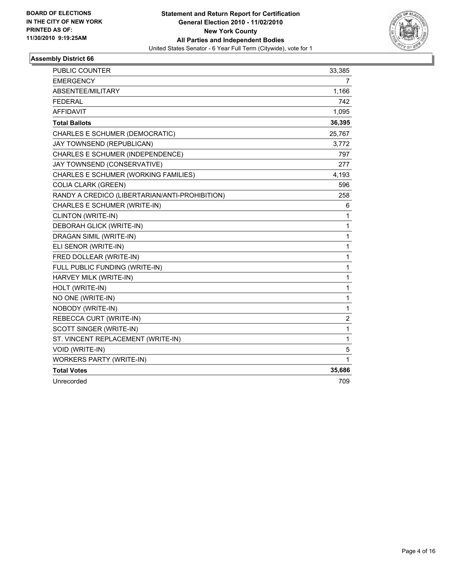

| <b>PUBLIC COUNTER</b>                          | 33,385       |
|------------------------------------------------|--------------|
| <b>EMERGENCY</b>                               | 7            |
| ABSENTEE/MILITARY                              | 1,166        |
| <b>FEDERAL</b>                                 | 742          |
| <b>AFFIDAVIT</b>                               | 1,095        |
| <b>Total Ballots</b>                           | 36,395       |
| CHARLES E SCHUMER (DEMOCRATIC)                 | 25,767       |
| JAY TOWNSEND (REPUBLICAN)                      | 3,772        |
| CHARLES E SCHUMER (INDEPENDENCE)               | 797          |
| JAY TOWNSEND (CONSERVATIVE)                    | 277          |
| CHARLES E SCHUMER (WORKING FAMILIES)           | 4,193        |
| <b>COLIA CLARK (GREEN)</b>                     | 596          |
| RANDY A CREDICO (LIBERTARIAN/ANTI-PROHIBITION) | 258          |
| CHARLES E SCHUMER (WRITE-IN)                   | 6            |
| CLINTON (WRITE-IN)                             | 1            |
| DEBORAH GLICK (WRITE-IN)                       | 1            |
| DRAGAN SIMIL (WRITE-IN)                        | 1            |
| ELI SENOR (WRITE-IN)                           | 1            |
| FRED DOLLEAR (WRITE-IN)                        | 1            |
| FULL PUBLIC FUNDING (WRITE-IN)                 | 1            |
| HARVEY MILK (WRITE-IN)                         | $\mathbf{1}$ |
| HOLT (WRITE-IN)                                | 1            |
| NO ONE (WRITE-IN)                              | 1            |
| NOBODY (WRITE-IN)                              | 1            |
| REBECCA CURT (WRITE-IN)                        | $\mathbf 2$  |
| SCOTT SINGER (WRITE-IN)                        | 1            |
| ST. VINCENT REPLACEMENT (WRITE-IN)             | 1            |
| VOID (WRITE-IN)                                | 5            |
| <b>WORKERS PARTY (WRITE-IN)</b>                | 1            |
| <b>Total Votes</b>                             | 35,686       |
| Unrecorded                                     | 709          |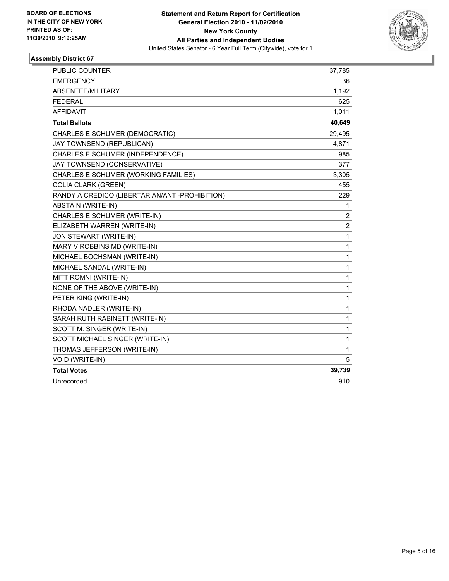

| PUBLIC COUNTER                                 | 37,785         |
|------------------------------------------------|----------------|
| <b>EMERGENCY</b>                               | 36             |
| ABSENTEE/MILITARY                              | 1,192          |
| <b>FEDERAL</b>                                 | 625            |
| <b>AFFIDAVIT</b>                               | 1,011          |
| <b>Total Ballots</b>                           | 40,649         |
| CHARLES E SCHUMER (DEMOCRATIC)                 | 29,495         |
| JAY TOWNSEND (REPUBLICAN)                      | 4,871          |
| CHARLES E SCHUMER (INDEPENDENCE)               | 985            |
| JAY TOWNSEND (CONSERVATIVE)                    | 377            |
| CHARLES E SCHUMER (WORKING FAMILIES)           | 3,305          |
| <b>COLIA CLARK (GREEN)</b>                     | 455            |
| RANDY A CREDICO (LIBERTARIAN/ANTI-PROHIBITION) | 229            |
| <b>ABSTAIN (WRITE-IN)</b>                      | 1              |
| CHARLES E SCHUMER (WRITE-IN)                   | 2              |
| ELIZABETH WARREN (WRITE-IN)                    | $\overline{2}$ |
| JON STEWART (WRITE-IN)                         | 1              |
| MARY V ROBBINS MD (WRITE-IN)                   | 1              |
| MICHAEL BOCHSMAN (WRITE-IN)                    | 1              |
| MICHAEL SANDAL (WRITE-IN)                      | 1              |
| MITT ROMNI (WRITE-IN)                          | 1              |
| NONE OF THE ABOVE (WRITE-IN)                   | 1              |
| PETER KING (WRITE-IN)                          | 1              |
| RHODA NADLER (WRITE-IN)                        | 1              |
| SARAH RUTH RABINETT (WRITE-IN)                 | 1              |
| SCOTT M. SINGER (WRITE-IN)                     | 1              |
| SCOTT MICHAEL SINGER (WRITE-IN)                | 1              |
| THOMAS JEFFERSON (WRITE-IN)                    | 1              |
| VOID (WRITE-IN)                                | 5              |
| <b>Total Votes</b>                             | 39,739         |
| Unrecorded                                     | 910            |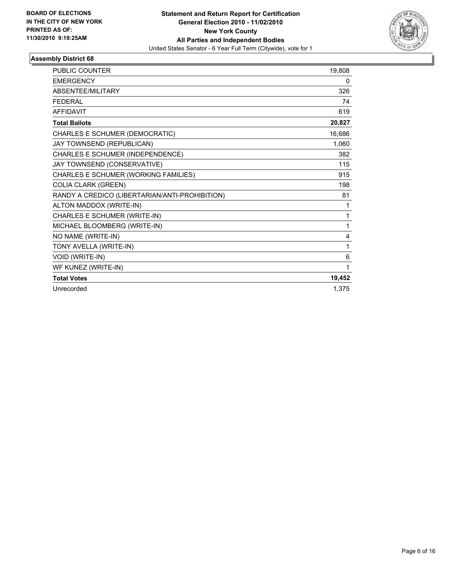

| <b>PUBLIC COUNTER</b>                          | 19,808 |
|------------------------------------------------|--------|
| <b>EMERGENCY</b>                               | 0      |
| ABSENTEE/MILITARY                              | 326    |
| <b>FEDERAL</b>                                 | 74     |
| <b>AFFIDAVIT</b>                               | 619    |
| <b>Total Ballots</b>                           | 20,827 |
| CHARLES E SCHUMER (DEMOCRATIC)                 | 16,686 |
| JAY TOWNSEND (REPUBLICAN)                      | 1,060  |
| CHARLES E SCHUMER (INDEPENDENCE)               | 382    |
| JAY TOWNSEND (CONSERVATIVE)                    | 115    |
| CHARLES E SCHUMER (WORKING FAMILIES)           | 915    |
| <b>COLIA CLARK (GREEN)</b>                     | 198    |
| RANDY A CREDICO (LIBERTARIAN/ANTI-PROHIBITION) | 81     |
| ALTON MADDOX (WRITE-IN)                        | 1      |
| CHARLES E SCHUMER (WRITE-IN)                   | 1      |
| MICHAEL BLOOMBERG (WRITE-IN)                   | 1      |
| NO NAME (WRITE-IN)                             | 4      |
| TONY AVELLA (WRITE-IN)                         | 1      |
| VOID (WRITE-IN)                                | 6      |
| WF KUNEZ (WRITE-IN)                            | 1      |
| <b>Total Votes</b>                             | 19,452 |
| Unrecorded                                     | 1,375  |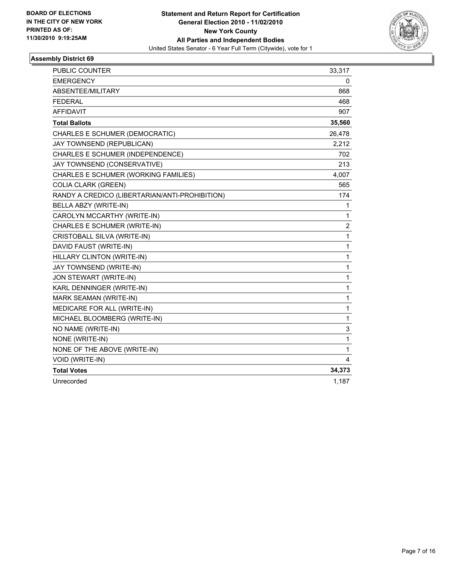

| PUBLIC COUNTER                                 | 33,317       |
|------------------------------------------------|--------------|
| <b>EMERGENCY</b>                               | 0            |
| ABSENTEE/MILITARY                              | 868          |
| <b>FEDERAL</b>                                 | 468          |
| AFFIDAVIT                                      | 907          |
| <b>Total Ballots</b>                           | 35,560       |
| CHARLES E SCHUMER (DEMOCRATIC)                 | 26,478       |
| JAY TOWNSEND (REPUBLICAN)                      | 2,212        |
| CHARLES E SCHUMER (INDEPENDENCE)               | 702          |
| JAY TOWNSEND (CONSERVATIVE)                    | 213          |
| CHARLES E SCHUMER (WORKING FAMILIES)           | 4,007        |
| COLIA CLARK (GREEN)                            | 565          |
| RANDY A CREDICO (LIBERTARIAN/ANTI-PROHIBITION) | 174          |
| BELLA ABZY (WRITE-IN)                          | 1            |
| CAROLYN MCCARTHY (WRITE-IN)                    | 1            |
| CHARLES E SCHUMER (WRITE-IN)                   | 2            |
| CRISTOBALL SILVA (WRITE-IN)                    | $\mathbf{1}$ |
| DAVID FAUST (WRITE-IN)                         | $\mathbf{1}$ |
| HILLARY CLINTON (WRITE-IN)                     | $\mathbf{1}$ |
| JAY TOWNSEND (WRITE-IN)                        | 1            |
| JON STEWART (WRITE-IN)                         | $\mathbf 1$  |
| KARL DENNINGER (WRITE-IN)                      | 1            |
| MARK SEAMAN (WRITE-IN)                         | $\mathbf 1$  |
| MEDICARE FOR ALL (WRITE-IN)                    | $\mathbf 1$  |
| MICHAEL BLOOMBERG (WRITE-IN)                   | $\mathbf{1}$ |
| NO NAME (WRITE-IN)                             | 3            |
| NONE (WRITE-IN)                                | $\mathbf{1}$ |
| NONE OF THE ABOVE (WRITE-IN)                   | 1            |
| VOID (WRITE-IN)                                | 4            |
| <b>Total Votes</b>                             | 34,373       |
| Unrecorded                                     | 1,187        |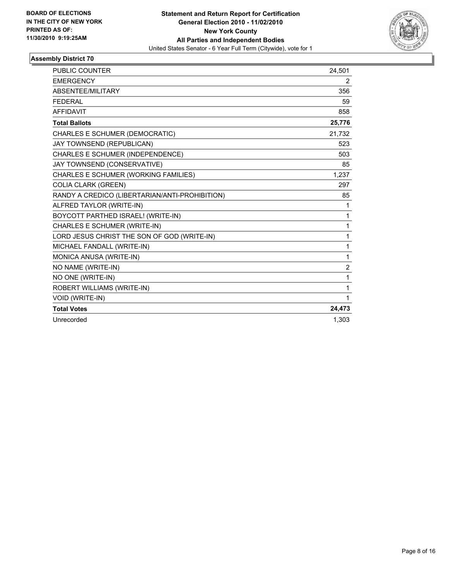

| PUBLIC COUNTER                                 | 24,501         |
|------------------------------------------------|----------------|
| <b>EMERGENCY</b>                               | $\overline{2}$ |
| ABSENTEE/MILITARY                              | 356            |
| <b>FEDERAL</b>                                 | 59             |
| <b>AFFIDAVIT</b>                               | 858            |
| <b>Total Ballots</b>                           | 25,776         |
| CHARLES E SCHUMER (DEMOCRATIC)                 | 21,732         |
| JAY TOWNSEND (REPUBLICAN)                      | 523            |
| CHARLES E SCHUMER (INDEPENDENCE)               | 503            |
| JAY TOWNSEND (CONSERVATIVE)                    | 85             |
| CHARLES E SCHUMER (WORKING FAMILIES)           | 1,237          |
| <b>COLIA CLARK (GREEN)</b>                     | 297            |
| RANDY A CREDICO (LIBERTARIAN/ANTI-PROHIBITION) | 85             |
| ALFRED TAYLOR (WRITE-IN)                       | 1              |
| BOYCOTT PARTHED ISRAEL! (WRITE-IN)             | $\mathbf 1$    |
| CHARLES E SCHUMER (WRITE-IN)                   | $\mathbf{1}$   |
| LORD JESUS CHRIST THE SON OF GOD (WRITE-IN)    | $\mathbf{1}$   |
| MICHAEL FANDALL (WRITE-IN)                     | $\mathbf{1}$   |
| MONICA ANUSA (WRITE-IN)                        | $\mathbf{1}$   |
| NO NAME (WRITE-IN)                             | 2              |
| NO ONE (WRITE-IN)                              | 1              |
| ROBERT WILLIAMS (WRITE-IN)                     | 1              |
| VOID (WRITE-IN)                                | $\mathbf{1}$   |
| <b>Total Votes</b>                             | 24,473         |
| Unrecorded                                     | 1.303          |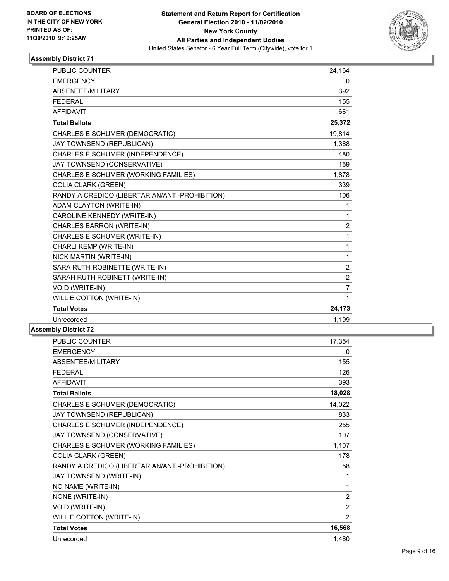

| <b>PUBLIC COUNTER</b>                          | 24,164         |
|------------------------------------------------|----------------|
| <b>EMERGENCY</b>                               | 0              |
| ABSENTEE/MILITARY                              | 392            |
| <b>FEDERAL</b>                                 | 155            |
| <b>AFFIDAVIT</b>                               | 661            |
| <b>Total Ballots</b>                           | 25,372         |
| CHARLES E SCHUMER (DEMOCRATIC)                 | 19,814         |
| JAY TOWNSEND (REPUBLICAN)                      | 1,368          |
| CHARLES E SCHUMER (INDEPENDENCE)               | 480            |
| JAY TOWNSEND (CONSERVATIVE)                    | 169            |
| CHARLES E SCHUMER (WORKING FAMILIES)           | 1,878          |
| <b>COLIA CLARK (GREEN)</b>                     | 339            |
| RANDY A CREDICO (LIBERTARIAN/ANTI-PROHIBITION) | 106            |
| ADAM CLAYTON (WRITE-IN)                        | 1              |
| CAROLINE KENNEDY (WRITE-IN)                    | 1              |
| <b>CHARLES BARRON (WRITE-IN)</b>               | 2              |
| CHARLES E SCHUMER (WRITE-IN)                   | 1              |
| CHARLI KEMP (WRITE-IN)                         | 1              |
| NICK MARTIN (WRITE-IN)                         | 1              |
| SARA RUTH ROBINETTE (WRITE-IN)                 | 2              |
| SARAH RUTH ROBINETT (WRITE-IN)                 | $\overline{2}$ |
| VOID (WRITE-IN)                                | $\overline{7}$ |
| WILLIE COTTON (WRITE-IN)                       | 1              |
| <b>Total Votes</b>                             | 24,173         |
| Unrecorded                                     | 1,199          |

| <b>PUBLIC COUNTER</b>                          | 17,354         |
|------------------------------------------------|----------------|
| <b>EMERGENCY</b>                               | 0              |
| ABSENTEE/MILITARY                              | 155            |
| <b>FEDERAL</b>                                 | 126            |
| <b>AFFIDAVIT</b>                               | 393            |
| <b>Total Ballots</b>                           | 18,028         |
| CHARLES E SCHUMER (DEMOCRATIC)                 | 14,022         |
| JAY TOWNSEND (REPUBLICAN)                      | 833            |
| CHARLES E SCHUMER (INDEPENDENCE)               | 255            |
| JAY TOWNSEND (CONSERVATIVE)                    | 107            |
| CHARLES E SCHUMER (WORKING FAMILIES)           | 1,107          |
| <b>COLIA CLARK (GREEN)</b>                     | 178            |
| RANDY A CREDICO (LIBERTARIAN/ANTI-PROHIBITION) | 58             |
| JAY TOWNSEND (WRITE-IN)                        | 1              |
| NO NAME (WRITE-IN)                             | 1              |
| NONE (WRITE-IN)                                | $\overline{2}$ |
| VOID (WRITE-IN)                                | 2              |
| WILLIE COTTON (WRITE-IN)                       | $\overline{2}$ |
| <b>Total Votes</b>                             | 16,568         |
| Unrecorded                                     | 1,460          |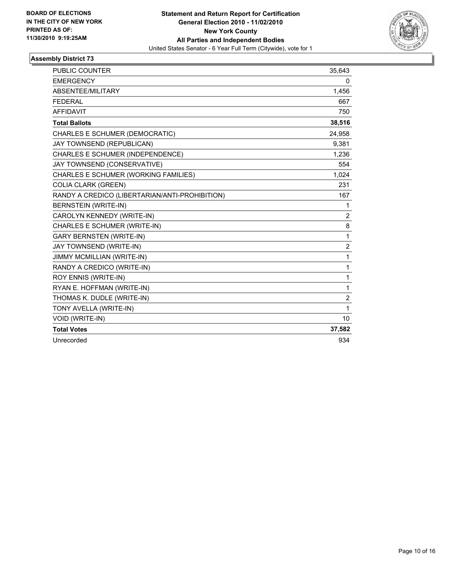

| PUBLIC COUNTER                                 | 35,643         |
|------------------------------------------------|----------------|
| <b>EMERGENCY</b>                               | 0              |
| ABSENTEE/MILITARY                              | 1.456          |
| <b>FEDERAL</b>                                 | 667            |
| <b>AFFIDAVIT</b>                               | 750            |
| <b>Total Ballots</b>                           | 38,516         |
| CHARLES E SCHUMER (DEMOCRATIC)                 | 24,958         |
| JAY TOWNSEND (REPUBLICAN)                      | 9,381          |
| CHARLES E SCHUMER (INDEPENDENCE)               | 1,236          |
| JAY TOWNSEND (CONSERVATIVE)                    | 554            |
| CHARLES E SCHUMER (WORKING FAMILIES)           | 1,024          |
| <b>COLIA CLARK (GREEN)</b>                     | 231            |
| RANDY A CREDICO (LIBERTARIAN/ANTI-PROHIBITION) | 167            |
| <b>BERNSTEIN (WRITE-IN)</b>                    | 1              |
| CAROLYN KENNEDY (WRITE-IN)                     | 2              |
| CHARLES E SCHUMER (WRITE-IN)                   | 8              |
| <b>GARY BERNSTEN (WRITE-IN)</b>                | 1              |
| JAY TOWNSEND (WRITE-IN)                        | $\overline{2}$ |
| JIMMY MCMILLIAN (WRITE-IN)                     | 1              |
| RANDY A CREDICO (WRITE-IN)                     | 1              |
| ROY ENNIS (WRITE-IN)                           | 1              |
| RYAN E. HOFFMAN (WRITE-IN)                     | 1              |
| THOMAS K. DUDLE (WRITE-IN)                     | $\overline{c}$ |
| TONY AVELLA (WRITE-IN)                         | 1              |
| <b>VOID (WRITE-IN)</b>                         | 10             |
| <b>Total Votes</b>                             | 37,582         |
| Unrecorded                                     | 934            |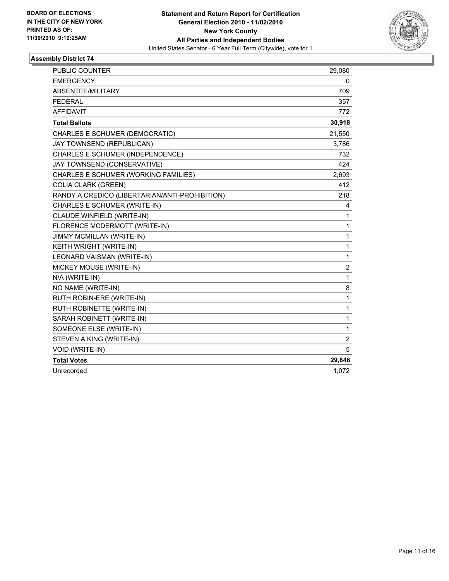

| <b>PUBLIC COUNTER</b>                          | 29,080         |
|------------------------------------------------|----------------|
| <b>EMERGENCY</b>                               | 0              |
| ABSENTEE/MILITARY                              | 709            |
| <b>FEDERAL</b>                                 | 357            |
| <b>AFFIDAVIT</b>                               | 772            |
| <b>Total Ballots</b>                           | 30,918         |
| CHARLES E SCHUMER (DEMOCRATIC)                 | 21,550         |
| JAY TOWNSEND (REPUBLICAN)                      | 3,786          |
| CHARLES E SCHUMER (INDEPENDENCE)               | 732            |
| JAY TOWNSEND (CONSERVATIVE)                    | 424            |
| CHARLES E SCHUMER (WORKING FAMILIES)           | 2,693          |
| <b>COLIA CLARK (GREEN)</b>                     | 412            |
| RANDY A CREDICO (LIBERTARIAN/ANTI-PROHIBITION) | 218            |
| CHARLES E SCHUMER (WRITE-IN)                   | 4              |
| CLAUDE WINFIELD (WRITE-IN)                     | 1              |
| FLORENCE MCDERMOTT (WRITE-IN)                  | 1              |
| JIMMY MCMILLAN (WRITE-IN)                      | 1              |
| KEITH WRIGHT (WRITE-IN)                        | 1              |
| LEONARD VAISMAN (WRITE-IN)                     | 1              |
| MICKEY MOUSE (WRITE-IN)                        | 2              |
| N/A (WRITE-IN)                                 | 1              |
| NO NAME (WRITE-IN)                             | 8              |
| RUTH ROBIN-ERE (WRITE-IN)                      | 1              |
| RUTH ROBINETTE (WRITE-IN)                      | 1              |
| SARAH ROBINETT (WRITE-IN)                      | 1              |
| SOMEONE ELSE (WRITE-IN)                        | 1              |
| STEVEN A KING (WRITE-IN)                       | $\overline{c}$ |
| VOID (WRITE-IN)                                | 5              |
| <b>Total Votes</b>                             | 29,846         |
| Unrecorded                                     | 1,072          |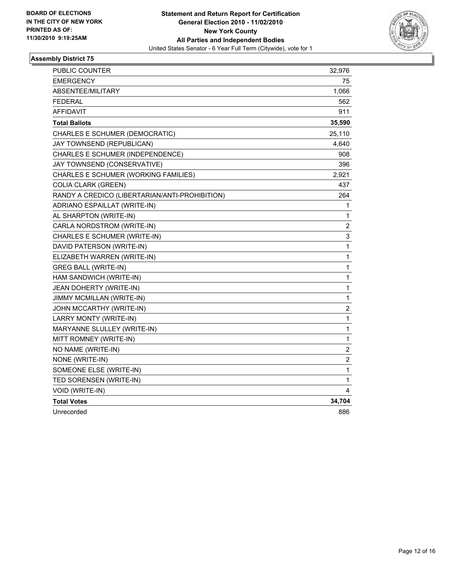

| PUBLIC COUNTER                                 | 32,976           |
|------------------------------------------------|------------------|
| <b>EMERGENCY</b>                               | 75               |
| <b>ABSENTEE/MILITARY</b>                       | 1,066            |
| <b>FEDERAL</b>                                 | 562              |
| <b>AFFIDAVIT</b>                               | 911              |
| <b>Total Ballots</b>                           | 35,590           |
| CHARLES E SCHUMER (DEMOCRATIC)                 | 25,110           |
| JAY TOWNSEND (REPUBLICAN)                      | 4,640            |
| CHARLES E SCHUMER (INDEPENDENCE)               | 908              |
| JAY TOWNSEND (CONSERVATIVE)                    | 396              |
| CHARLES E SCHUMER (WORKING FAMILIES)           | 2,921            |
| <b>COLIA CLARK (GREEN)</b>                     | 437              |
| RANDY A CREDICO (LIBERTARIAN/ANTI-PROHIBITION) | 264              |
| ADRIANO ESPAILLAT (WRITE-IN)                   | 1                |
| AL SHARPTON (WRITE-IN)                         | 1                |
| CARLA NORDSTROM (WRITE-IN)                     | 2                |
| CHARLES E SCHUMER (WRITE-IN)                   | 3                |
| DAVID PATERSON (WRITE-IN)                      | 1                |
| ELIZABETH WARREN (WRITE-IN)                    | 1                |
| <b>GREG BALL (WRITE-IN)</b>                    | 1                |
| HAM SANDWICH (WRITE-IN)                        | 1                |
| JEAN DOHERTY (WRITE-IN)                        | $\mathbf 1$      |
| JIMMY MCMILLAN (WRITE-IN)                      | $\mathbf 1$      |
| JOHN MCCARTHY (WRITE-IN)                       | $\boldsymbol{2}$ |
| LARRY MONTY (WRITE-IN)                         | 1                |
| MARYANNE SLULLEY (WRITE-IN)                    | 1                |
| MITT ROMNEY (WRITE-IN)                         | 1                |
| NO NAME (WRITE-IN)                             | 2                |
| NONE (WRITE-IN)                                | 2                |
| SOMEONE ELSE (WRITE-IN)                        | $\mathbf 1$      |
| TED SORENSEN (WRITE-IN)                        | 1                |
| VOID (WRITE-IN)                                | 4                |
| <b>Total Votes</b>                             | 34,704           |
| Unrecorded                                     | 886              |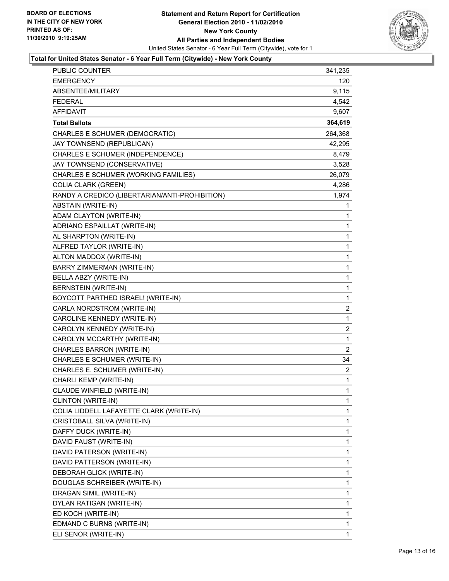

## **Total for United States Senator - 6 Year Full Term (Citywide) - New York County**

| PUBLIC COUNTER                                 | 341,235        |
|------------------------------------------------|----------------|
| <b>EMERGENCY</b>                               | 120            |
| ABSENTEE/MILITARY                              | 9,115          |
| <b>FEDERAL</b>                                 | 4,542          |
| <b>AFFIDAVIT</b>                               | 9,607          |
| <b>Total Ballots</b>                           | 364,619        |
| CHARLES E SCHUMER (DEMOCRATIC)                 | 264,368        |
| JAY TOWNSEND (REPUBLICAN)                      | 42,295         |
| CHARLES E SCHUMER (INDEPENDENCE)               | 8,479          |
| JAY TOWNSEND (CONSERVATIVE)                    | 3,528          |
| CHARLES E SCHUMER (WORKING FAMILIES)           | 26,079         |
| <b>COLIA CLARK (GREEN)</b>                     | 4,286          |
| RANDY A CREDICO (LIBERTARIAN/ANTI-PROHIBITION) | 1,974          |
| ABSTAIN (WRITE-IN)                             | 1              |
| ADAM CLAYTON (WRITE-IN)                        | 1              |
| ADRIANO ESPAILLAT (WRITE-IN)                   | 1              |
| AL SHARPTON (WRITE-IN)                         | 1              |
| ALFRED TAYLOR (WRITE-IN)                       | 1              |
| ALTON MADDOX (WRITE-IN)                        | 1              |
| BARRY ZIMMERMAN (WRITE-IN)                     | 1              |
| BELLA ABZY (WRITE-IN)                          | 1              |
| <b>BERNSTEIN (WRITE-IN)</b>                    | 1              |
| BOYCOTT PARTHED ISRAEL! (WRITE-IN)             | 1              |
| CARLA NORDSTROM (WRITE-IN)                     | $\overline{c}$ |
| CAROLINE KENNEDY (WRITE-IN)                    | 1              |
| CAROLYN KENNEDY (WRITE-IN)                     | 2              |
| CAROLYN MCCARTHY (WRITE-IN)                    | 1              |
| CHARLES BARRON (WRITE-IN)                      | $\overline{2}$ |
| CHARLES E SCHUMER (WRITE-IN)                   | 34             |
| CHARLES E. SCHUMER (WRITE-IN)                  | $\mathbf{2}$   |
| CHARLI KEMP (WRITE-IN)                         | 1              |
| CLAUDE WINFIELD (WRITE-IN)                     | 1              |
| CLINTON (WRITE-IN)                             | 1              |
| COLIA LIDDELL LAFAYETTE CLARK (WRITE-IN)       | 1              |
| CRISTOBALL SILVA (WRITE-IN)                    | 1              |
| DAFFY DUCK (WRITE-IN)                          | 1              |
| DAVID FAUST (WRITE-IN)                         | 1              |
| DAVID PATERSON (WRITE-IN)                      | 1              |
| DAVID PATTERSON (WRITE-IN)                     | 1              |
| DEBORAH GLICK (WRITE-IN)                       | 1              |
| DOUGLAS SCHREIBER (WRITE-IN)                   | 1              |
| DRAGAN SIMIL (WRITE-IN)                        | 1              |
| DYLAN RATIGAN (WRITE-IN)                       | 1              |
| ED KOCH (WRITE-IN)                             | 1              |
| EDMAND C BURNS (WRITE-IN)                      | 1              |
| ELI SENOR (WRITE-IN)                           | 1              |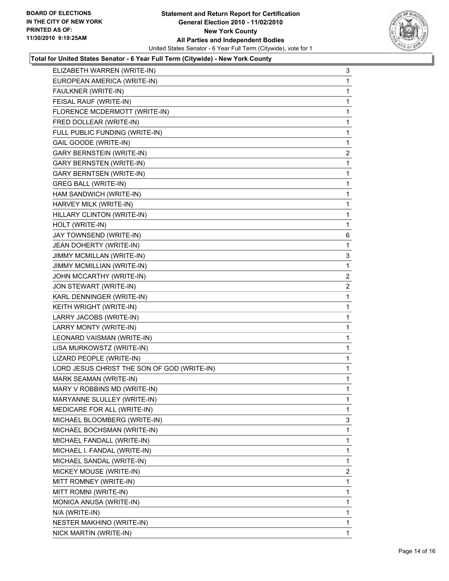

## **Total for United States Senator - 6 Year Full Term (Citywide) - New York County**

| ELIZABETH WARREN (WRITE-IN)                 | 3              |
|---------------------------------------------|----------------|
| EUROPEAN AMERICA (WRITE-IN)                 | 1              |
| FAULKNER (WRITE-IN)                         | 1              |
| FEISAL RAUF (WRITE-IN)                      | 1              |
| FLORENCE MCDERMOTT (WRITE-IN)               | 1              |
| FRED DOLLEAR (WRITE-IN)                     | 1              |
| FULL PUBLIC FUNDING (WRITE-IN)              | 1              |
| GAIL GOODE (WRITE-IN)                       | 1              |
| <b>GARY BERNSTEIN (WRITE-IN)</b>            | 2              |
| <b>GARY BERNSTEN (WRITE-IN)</b>             | 1              |
| <b>GARY BERNTSEN (WRITE-IN)</b>             | 1              |
| <b>GREG BALL (WRITE-IN)</b>                 | 1              |
| HAM SANDWICH (WRITE-IN)                     | 1              |
| HARVEY MILK (WRITE-IN)                      | 1              |
| HILLARY CLINTON (WRITE-IN)                  | 1              |
| HOLT (WRITE-IN)                             | 1              |
| JAY TOWNSEND (WRITE-IN)                     | 6              |
| JEAN DOHERTY (WRITE-IN)                     | 1              |
| JIMMY MCMILLAN (WRITE-IN)                   | 3              |
| JIMMY MCMILLIAN (WRITE-IN)                  | 1              |
| JOHN MCCARTHY (WRITE-IN)                    | $\mathbf{2}$   |
| JON STEWART (WRITE-IN)                      | 2              |
| KARL DENNINGER (WRITE-IN)                   | 1              |
| KEITH WRIGHT (WRITE-IN)                     | 1              |
| LARRY JACOBS (WRITE-IN)                     | 1              |
| LARRY MONTY (WRITE-IN)                      | 1              |
| LEONARD VAISMAN (WRITE-IN)                  | 1              |
| LISA MURKOWSTZ (WRITE-IN)                   | 1              |
| LIZARD PEOPLE (WRITE-IN)                    | 1              |
| LORD JESUS CHRIST THE SON OF GOD (WRITE-IN) | 1              |
| MARK SEAMAN (WRITE-IN)                      | 1              |
| MARY V ROBBINS MD (WRITE-IN)                | 1              |
| MARYANNE SLULLEY (WRITE-IN)                 | 1              |
| MEDICARE FOR ALL (WRITE-IN)                 | 1              |
| MICHAEL BLOOMBERG (WRITE-IN)                | 3              |
| MICHAEL BOCHSMAN (WRITE-IN)                 | 1              |
| MICHAEL FANDALL (WRITE-IN)                  | 1              |
| MICHAEL I. FANDAL (WRITE-IN)                | 1              |
| MICHAEL SANDAL (WRITE-IN)                   | 1              |
| MICKEY MOUSE (WRITE-IN)                     | $\overline{2}$ |
| MITT ROMNEY (WRITE-IN)                      | 1              |
| MITT ROMNI (WRITE-IN)                       | 1              |
| MONICA ANUSA (WRITE-IN)                     | 1              |
| N/A (WRITE-IN)                              | 1              |
| NESTER MAKHINO (WRITE-IN)                   | 1              |
| NICK MARTIN (WRITE-IN)                      | 1              |
|                                             |                |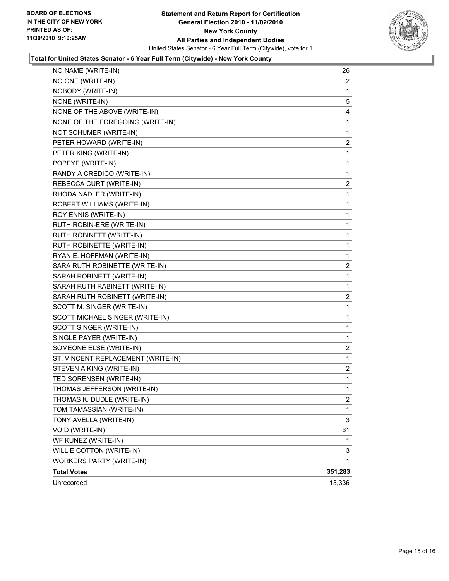

## **Total for United States Senator - 6 Year Full Term (Citywide) - New York County**

| NO NAME (WRITE-IN)                 | 26             |
|------------------------------------|----------------|
| NO ONE (WRITE-IN)                  | 2              |
| NOBODY (WRITE-IN)                  | 1              |
| NONE (WRITE-IN)                    | 5              |
| NONE OF THE ABOVE (WRITE-IN)       | 4              |
| NONE OF THE FOREGOING (WRITE-IN)   | 1              |
| NOT SCHUMER (WRITE-IN)             | 1              |
| PETER HOWARD (WRITE-IN)            | 2              |
| PETER KING (WRITE-IN)              | 1              |
| POPEYE (WRITE-IN)                  | 1              |
| RANDY A CREDICO (WRITE-IN)         | 1              |
| REBECCA CURT (WRITE-IN)            | 2              |
| RHODA NADLER (WRITE-IN)            | 1              |
| ROBERT WILLIAMS (WRITE-IN)         | 1              |
| ROY ENNIS (WRITE-IN)               | 1              |
| RUTH ROBIN-ERE (WRITE-IN)          | 1              |
| RUTH ROBINETT (WRITE-IN)           | 1              |
| RUTH ROBINETTE (WRITE-IN)          | 1              |
| RYAN E. HOFFMAN (WRITE-IN)         | 1              |
| SARA RUTH ROBINETTE (WRITE-IN)     | 2              |
| SARAH ROBINETT (WRITE-IN)          | 1              |
| SARAH RUTH RABINETT (WRITE-IN)     | 1              |
| SARAH RUTH ROBINETT (WRITE-IN)     | 2              |
| SCOTT M. SINGER (WRITE-IN)         | 1              |
| SCOTT MICHAEL SINGER (WRITE-IN)    | 1              |
| SCOTT SINGER (WRITE-IN)            | 1              |
| SINGLE PAYER (WRITE-IN)            | 1              |
| SOMEONE ELSE (WRITE-IN)            | 2              |
| ST. VINCENT REPLACEMENT (WRITE-IN) | 1              |
| STEVEN A KING (WRITE-IN)           | 2              |
| TED SORENSEN (WRITE-IN)            | 1              |
| THOMAS JEFFERSON (WRITE-IN)        | 1              |
| THOMAS K. DUDLE (WRITE-IN)         | $\overline{c}$ |
| TOM TAMASSIAN (WRITE-IN)           | 1              |
| TONY AVELLA (WRITE-IN)             | 3              |
| VOID (WRITE-IN)                    | 61             |
| WF KUNEZ (WRITE-IN)                | 1              |
| WILLIE COTTON (WRITE-IN)           | 3              |
| WORKERS PARTY (WRITE-IN)           | 1              |
| <b>Total Votes</b>                 | 351,283        |
| Unrecorded                         | 13,336         |